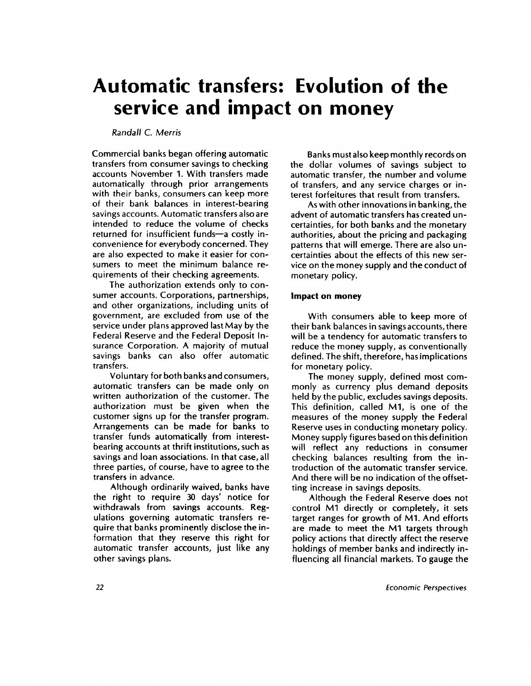# **Automatic transfers: Evolution of the service and impact on money**

# *Randall* C. *Merris*

Commercial banks began offering automatic transfers from consumer savings to checking accounts November 1. With transfers made automatically through prior arrangements with their banks, consumers can keep more of their bank balances in interest-bearing savings accounts. Automatic transfers also are intended to reduce the volume of checks returned for insufficient funds—a costly inconvenience for everybody concerned. They are also expected to make it easier for consumers to meet the minimum balance requirements of their checking agreements.

The authorization extends only to consumer accounts. Corporations, partnerships, and other organizations, including units of government, are excluded from use of the service under plans approved last May by the Federal Reserve and the Federal Deposit Insurance Corporation. A majority of mutual savings banks can also offer automatic transfers.

Voluntary for both banks and consumers, automatic transfers can be made only on written authorization of the customer. The authorization must be given when the customer signs up for the transfer program. Arrangements can be made for banks to transfer funds automatically from interestbearing accounts at thrift institutions, such as savings and loan associations. In that case, all three parties, of course, have to agree to the transfers in advance.

Although ordinarily waived, banks have the right to require 30 days' notice for withdrawals from savings accounts. Regulations governing automatic transfers require that banks prominently disclose the information that they reserve this right for automatic transfer accounts, just like any other savings plans.

Banks must also keep monthly records on the dollar volumes of savings subject to automatic transfer, the number and volume of transfers, and any service charges or interest forfeitures that result from transfers.

As with other innovations in banking, the advent of automatic transfers has created uncertainties, for both banks and the monetary authorities, about the pricing and packaging patterns that will emerge. There are also uncertainties about the effects of this new service on the money supply and the conduct of monetary policy.

### **Impact on money**

With consumers able to keep more of their bank balances in savings accounts, there will be a tendency for automatic transfers to reduce the money supply, as conventionally defined. The shift, therefore, has implications for monetary policy.

The money supply, defined most commonly as currency plus demand deposits held by the public, excludes savings deposits. This definition, called M1, is one of the measures of the money supply the Federal Reserve uses in conducting monetary policy. Money supply figures based on this definition will reflect any reductions in consumer checking balances resulting from the introduction of the automatic transfer service. And there will be no indication of the offsetting increase in savings deposits.

Although the Federal Reserve does not control M1 directly or completely, it sets target ranges for growth of M1. And efforts are made to meet the M1 targets through policy actions that directly affect the reserve holdings of member banks and indirectly influencing all financial markets. To gauge the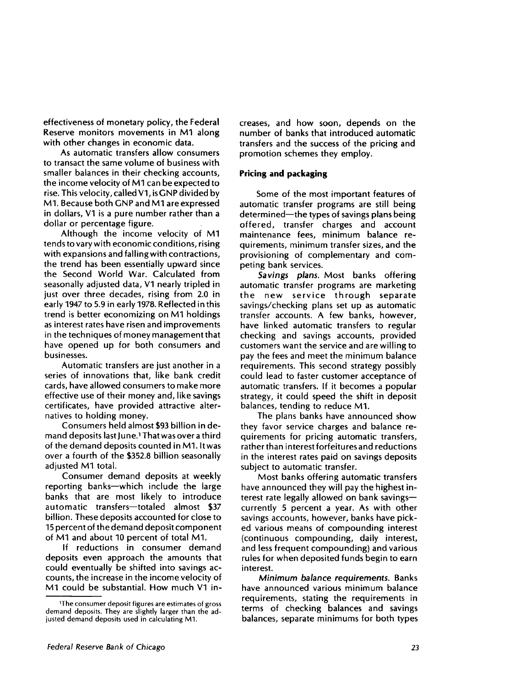effectiveness of monetary policy, the Federal Reserve monitors movements in **M1** along with other changes in economic data.

As automatic transfers allow consumers to transact the same volume of business with smaller balances in their checking accounts, the income velocity of M1 can be expected to rise. This velocity, called V1, is GNP divided by Ml. Because both GNP and **M1** are expressed in dollars, V1 is a pure number rather than a dollar or percentage figure.

Although the income velocity of M1 tends to vary with economic conditions, rising with expansions and falling with contractions, the trend has been essentially upward since the Second World War. Calculated from seasonally adjusted data, V1 nearly tripled in just over three decades, rising from **2.0** in early **1947 to 5.9** in early **1978. Reflected** in this trend is better economizing on M1 holdings as interest rates have risen and improvements in the techniques of money management that have opened up for both consumers and businesses.

Automatic transfers are just another in a series of innovations that, like bank credit cards, have allowed consumers to make more effective use of their money and, like savings certificates, have provided attractive alternatives to holding money.

Consumers held almost \$93 billion in demand deposits last June.<sup>1</sup> That was over a third of the demand deposits counted in M1. It was over a fourth of the \$352.8 billion seasonally adjusted **M1** total.

Consumer demand deposits at weekly reporting banks—which include the large banks that are most likely to introduce automatic transfers—totaled almost \$37 billion. These deposits accounted for close to 15 percent of the demand deposit component of M1 and about 10 percent of total Ml.

If reductions in consumer demand deposits even approach the amounts that could eventually be shifted into savings accounts, the increase in the income velocity of M1 could be substantial. How much V1 increases, and how soon, depends on the number of banks that introduced automatic transfers and the success of the pricing and promotion schemes they employ.

## **Pricing and packaging**

Some of the most important features of automatic transfer programs are still being determined—the types of savings plans being offered, transfer charges and account maintenance fees, minimum balance requirements, minimum transfer sizes, and the provisioning of complementary and competing bank services.

*Savings plans.* Most banks offering automatic transfer programs are marketing the new service through separate savings/checking plans set up as automatic transfer accounts. A few banks, however, have linked automatic transfers to regular checking and savings accounts, provided customers want the service and are willing to pay the fees and meet the minimum balance requirements. This second strategy possibly could lead to faster customer acceptance of automatic transfers. If it becomes a popular strategy, it could speed the shift in deposit balances, tending to reduce M1.

The plans banks have announced show they favor service charges and balance requirements for pricing automatic transfers, rather than interest forfeitures and reductions in the interest rates paid on savings deposits subject to automatic transfer.

Most banks offering automatic transfers have announced they will pay the highest interest rate legally allowed on bank savings currently 5 percent a year. As with other savings accounts, however, banks have picked various means of compounding interest (continuous compounding, daily interest, and less frequent compounding) and various rules for when deposited funds begin to earn interest.

*Minimum balance requirements.* Banks have announced various minimum balance requirements, stating the requirements in terms of checking balances and savings balances, separate minimums for both types

<sup>&</sup>lt;sup>1</sup>The consumer deposit figures are estimates of gross demand deposits. They are slightly larger than the adjusted demand deposits used in calculating M1.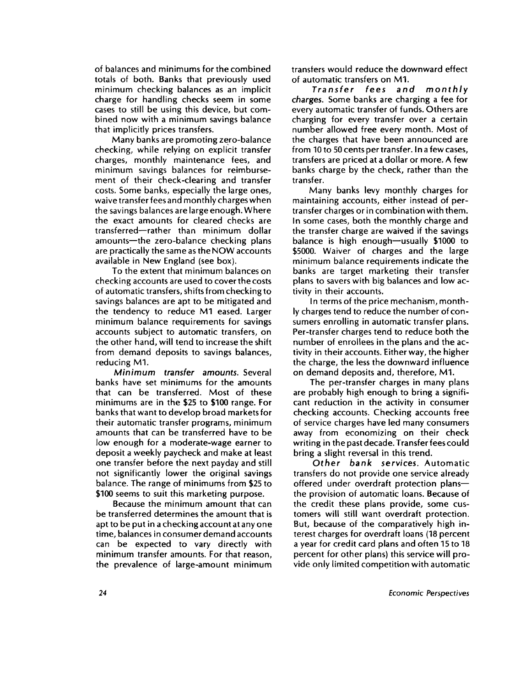of balances and minimums for the combined totals of both. Banks that previously used minimum checking balances as an implicit charge for handling checks seem in some cases to still be using this device, but combined now with a minimum savings balance that implicitly prices transfers.

Many banks are promoting zero-balance checking, while relying on explicit transfer charges, monthly maintenance fees, and minimum savings balances for reimbursement of their check-clearing and transfer costs. Some banks, especially the large ones, waive transfer fees and monthly charges when the savings balances are large enough. Where the exact amounts for cleared checks are transferred—rather than minimum dollar amounts—the zero-balance checking plans are practically the same as the NOW accounts available in New England (see box).

To the extent that minimum balances on checking accounts are used to cover the costs of automatic transfers, shifts from checking to savings balances are apt to be mitigated and the tendency to reduce M1 eased. Larger minimum balance requirements for savings accounts subject to automatic transfers, on the other hand, will tend to increase the shift from demand deposits to savings balances, reducing Ml.

*Minimum transfer amounts.* Several banks have set minimums for the amounts that can be transferred. Most of these minimums are in the \$25 to \$100 range. For banks that want to develop broad markets for their automatic transfer programs, minimum amounts that can be transferred have to be low enough for a moderate-wage earner to deposit a weekly paycheck and make at least one transfer before the next payday and still not significantly lower the original savings balance. The range of minimums from \$25 to \$100 seems to suit this marketing purpose.

Because the minimum amount that can be transferred determines the amount that is apt to be put in a checking account at any one time, balances in consumer demand accounts can be expected to vary directly with minimum transfer amounts. For that reason, the prevalence of large-amount minimum transfers would reduce the downward effect of automatic transfers on Ml.

*Transfer fees and monthly charges.* Some banks are charging a fee for every automatic transfer of funds. Others are charging for every transfer over a certain number allowed free every month. Most of the charges that have been announced are from 10 to 50 cents per transfer. In a few cases, transfers are priced at a dollar or more. A few banks charge by the check, rather than the transfer.

Many banks levy monthly charges for maintaining accounts, either instead of pertransfer charges or in combination with them. In some cases, both the monthly charge and the transfer charge are waived if the savings balance is high enough—usually \$1000 to \$5000. Waiver of charges and the large minimum balance requirements indicate the banks are target marketing their transfer plans to savers with big balances and low activity in their accounts.

In terms of the price mechanism, monthly charges tend to reduce the number of consumers enrolling in automatic transfer plans. Per-transfer charges tend to reduce both the number of enrollees in the plans and the activity in their accounts. Either way, the higher the charge, the less the downward influence on demand deposits and, therefore, Ml.

The per-transfer charges in many plans are probably high enough to bring a significant reduction in the activity in consumer checking accounts. Checking accounts free of service charges have led many consumers away from economizing on their check writing in the past decade. Transfer fees could bring a slight reversal in this trend.

Other *bank services.* Automatic transfers do not provide one service already offered under overdraft protection plans the provision of automatic loans. Because of the credit these plans provide, some customers will still want overdraft protection. But, because of the comparatively high interest charges for overdraft loans (18 percent a year for credit card plans and often 15 to 18 percent for other plans) this service will provide only limited competition with automatic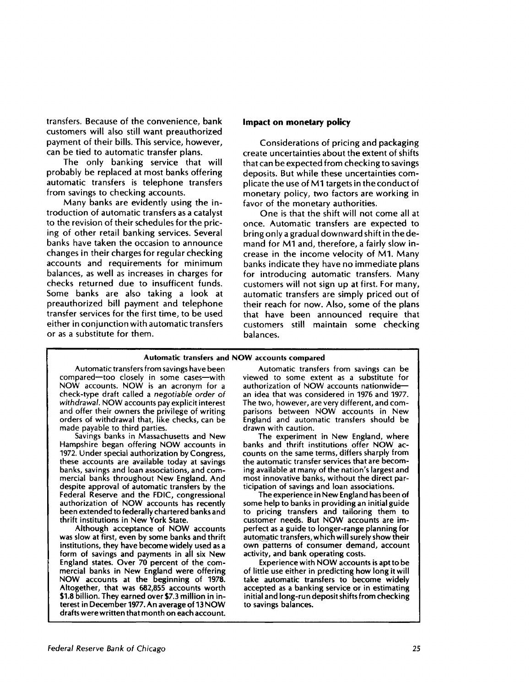transfers. Because of the convenience, bank customers will also still want preauthorized payment of their bills. This service, however, can be tied to automatic transfer plans.

The only banking service that will probably be replaced at most banks offering automatic transfers is telephone transfers from savings to checking accounts.

Many banks are evidently using the introduction of automatic transfers as a catalyst to the revision of their schedules for the pricing of other retail banking services. Several banks have taken the occasion to announce changes in their charges for regular checking accounts and requirements for minimum balances, as well as increases in charges for checks returned due to insufficent funds. Some banks are also taking a look at preauthorized bill payment and telephone transfer services for the first time, to be used either in conjunction with automatic transfers or as a substitute for them.

#### **Impact on monetary policy**

Considerations of pricing and packaging create uncertainties about the extent of shifts that can be expected from checking to savings deposits. But while these uncertainties complicate the use of M1 targets in the conduct of monetary policy, two factors are working in favor of the monetary authorities.

One is that the shift will not come all at once. Automatic transfers are expected to bring only a gradual downward shift in the demand for M1 and, therefore, a fairly slow increase in the income velocity of Ml. Many banks indicate they have no immediate plans for introducing automatic transfers. Many customers will not sign up at first. For many, automatic transfers are simply priced out of their reach for now. Also, some of the plans that have been announced require that customers still maintain some checking balances.

#### **Automatic transfers and NOW accounts compared**

Automatic transfers from savings have been compared—too closely in some cases—with NOW accounts. NOW is an acronym for a check-type draft called a *negotiable order of withdrawal.* NOW accounts pay explicit interest and offer their owners the privilege of writing orders of withdrawal that, like checks, can be made payable to third parties.

Savings banks in Massachusetts and New Hampshire began offering NOW accounts in 1972. Under special authorization by Congress, these accounts are available today at savings banks, savings and loan associations, and commercial banks throughout New England. And despite approval of automatic transfers by the Federal Reserve and the FDIC, congressional authorization of NOW accounts has recently been extended to federally chartered banks and thrift institutions in New York State.

Although acceptance of NOW accounts was slow at first, even by some banks and thrift institutions, they have become widely used as a form of savings and payments in all six New England states. Over 70 percent of the commercial banks in New England were offering NOW accounts at the beginning of 1978. Altogether, that was 682,855 accounts worth \$1.8 billion. They earned over \$7.3 million in interest in December 1977. An average of 13 NOW drafts were written that month on each account.

Automatic transfers from savings can be viewed to some extent as a substitute for authorization of NOW accounts nationwide an idea that was considered in 1976 and 1977. The two, however, are very different, and comparisons between NOW accounts in New England and automatic transfers should be drawn with caution.

The experiment in New England, where banks and thrift institutions offer NOW accounts on the same terms, differs sharply from the automatic transfer services that are becoming available at many of the nation's largest and most innovative banks, without the direct participation of savings and loan associations.

The experience in New England has been of some help to banks in providing an initial guide to pricing transfers and tailoring them to customer needs. But NOW accounts are imperfect as a guide to longer-range planning for automatic transfers, which will surely show their own patterns of consumer demand, account activity, and bank operating costs.

Experience with NOW accounts is apt to be of little use either in predicting how long it will take automatic transfers to become widely accepted as a banking service or in estimating initial and long-run deposit shifts from checking to savings balances.